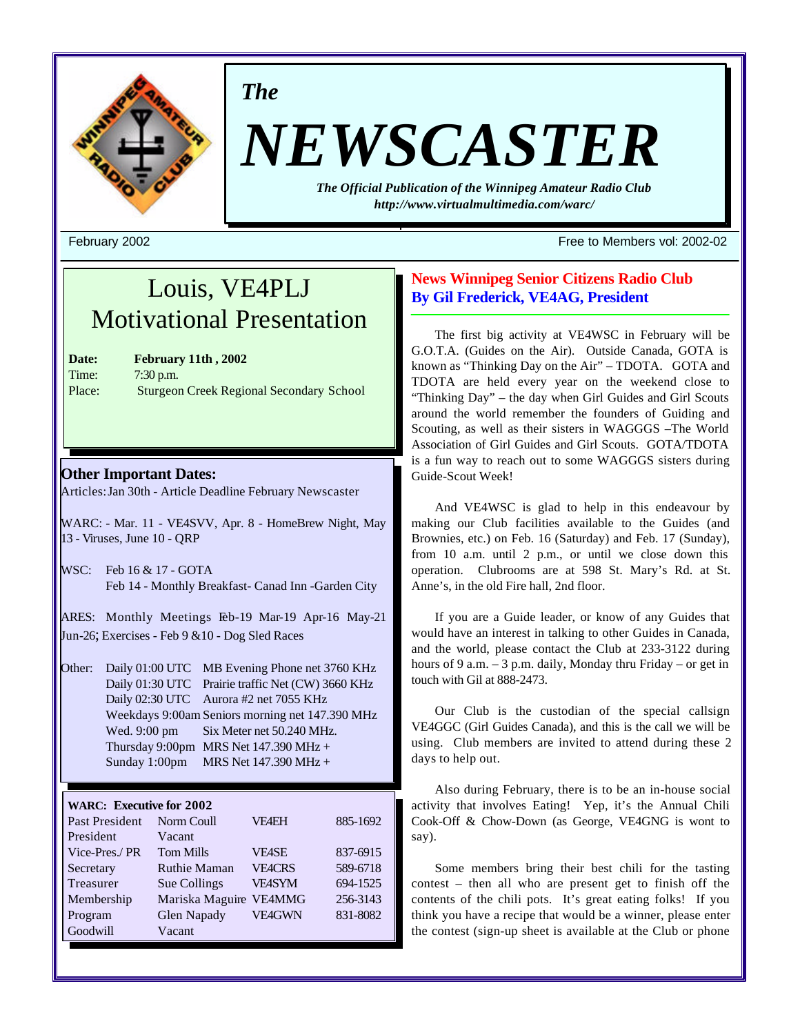

*The*

# *NEWSCASTER*

*The Official Publication of the Winnipeg Amateur Radio Club http://www.virtualmultimedia.com/warc/*

February 2002 Free to Members vol: 2002-02

# Louis, VE4PLJ Motivational Presentation

| Date:              |
|--------------------|
| Time:              |
| Place <sup>2</sup> |

**Date: February 11th , 2002** 7:30 p.m. Sturgeon Creek Regional Secondary School

# **Other Important Dates:**

Articles: Jan 30th - Article Deadline February Newscaster

WARC: - Mar. 11 - VE4SVV, Apr. 8 - HomeBrew Night, May 13 - Viruses, June 10 - QRP

WSC: Feb 16 & 17 - GOTA Feb 14 - Monthly Breakfast- Canad Inn -Garden City

ARES: Monthly Meetings Feb-19 Mar-19 Apr-16 May-21 Jun-26; Exercises - Feb 9 &10 - Dog Sled Races

Other: Daily 01:00 UTC MB Evening Phone net 3760 KHz Daily 01:30 UTC Prairie traffic Net (CW) 3660 KHz Daily 02:30 UTC Aurora #2 net 7055 KHz Weekdays 9:00am Seniors morning net 147.390 MHz Wed. 9:00 pm Six Meter net 50.240 MHz. Thursday 9:00pm MRS Net  $147.390$  MHz + Sunday 1:00pm MRS Net 147.390 MHz +

#### **WARC: Executive for 2002**

| Past President | Norm Coull          | <b>VE4EH</b>  | 885-1692 |
|----------------|---------------------|---------------|----------|
| President      | Vacant              |               |          |
| Vice-Pres./PR  | <b>Tom Mills</b>    | <b>VE4SE</b>  | 837-6915 |
| Secretary      | <b>Ruthie Maman</b> | <b>VE4CRS</b> | 589-6718 |
| Treasurer      | Sue Collings        | <b>VE4SYM</b> | 694-1525 |
| Membership     | Mariska Maguire     | <b>VE4MMG</b> | 256-3143 |
| Program        | <b>Glen Napady</b>  | <b>VE4GWN</b> | 831-8082 |
| Goodwill       | Vacant              |               |          |

## **News Winnipeg Senior Citizens Radio Club By Gil Frederick, VE4AG, President**

The first big activity at VE4WSC in February will be G.O.T.A. (Guides on the Air). Outside Canada, GOTA is known as "Thinking Day on the Air" – TDOTA. GOTA and TDOTA are held every year on the weekend close to "Thinking Day" – the day when Girl Guides and Girl Scouts around the world remember the founders of Guiding and Scouting, as well as their sisters in WAGGGS –The World Association of Girl Guides and Girl Scouts. GOTA/TDOTA is a fun way to reach out to some WAGGGS sisters during Guide-Scout Week!

And VE4WSC is glad to help in this endeavour by making our Club facilities available to the Guides (and Brownies, etc.) on Feb. 16 (Saturday) and Feb. 17 (Sunday), from 10 a.m. until 2 p.m., or until we close down this operation. Clubrooms are at 598 St. Mary's Rd. at St. Anne's, in the old Fire hall, 2nd floor.

If you are a Guide leader, or know of any Guides that would have an interest in talking to other Guides in Canada, and the world, please contact the Club at 233-3122 during hours of 9 a.m. – 3 p.m. daily, Monday thru Friday – or get in touch with Gil at 888-2473.

Our Club is the custodian of the special callsign VE4GGC (Girl Guides Canada), and this is the call we will be using. Club members are invited to attend during these 2 days to help out.

Also during February, there is to be an in-house social activity that involves Eating! Yep, it's the Annual Chili Cook-Off & Chow-Down (as George, VE4GNG is wont to say).

Some members bring their best chili for the tasting contest – then all who are present get to finish off the contents of the chili pots. It's great eating folks! If you think you have a recipe that would be a winner, please enter the contest (sign-up sheet is available at the Club or phone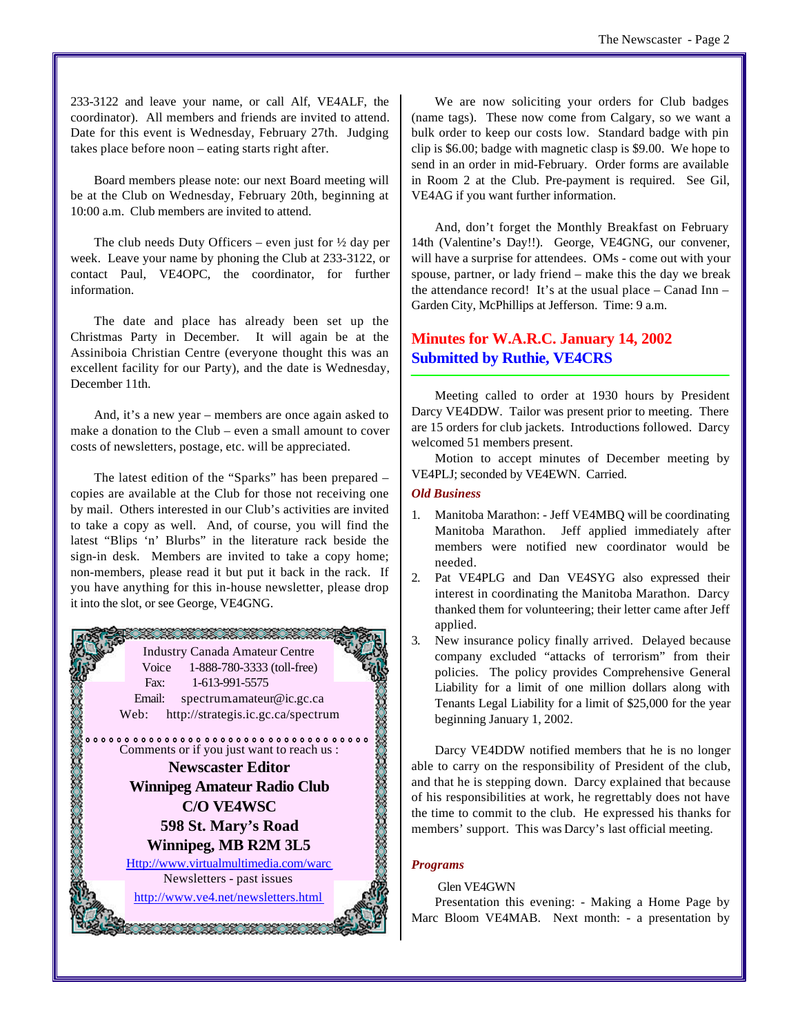233-3122 and leave your name, or call Alf, VE4ALF, the coordinator). All members and friends are invited to attend. Date for this event is Wednesday, February 27th. Judging takes place before noon – eating starts right after.

Board members please note: our next Board meeting will be at the Club on Wednesday, February 20th, beginning at 10:00 a.m. Club members are invited to attend.

The club needs Duty Officers – even just for  $\frac{1}{2}$  day per week. Leave your name by phoning the Club at 233-3122, or contact Paul, VE4OPC, the coordinator, for further information.

The date and place has already been set up the Christmas Party in December. It will again be at the Assiniboia Christian Centre (everyone thought this was an excellent facility for our Party), and the date is Wednesday, December 11th.

And, it's a new year – members are once again asked to make a donation to the Club – even a small amount to cover costs of newsletters, postage, etc. will be appreciated.

The latest edition of the "Sparks" has been prepared – copies are available at the Club for those not receiving one by mail. Others interested in our Club's activities are invited to take a copy as well. And, of course, you will find the latest "Blips 'n' Blurbs" in the literature rack beside the sign-in desk. Members are invited to take a copy home; non-members, please read it but put it back in the rack. If you have anything for this in-house newsletter, please drop it into the slot, or see George, VE4GNG.



We are now soliciting your orders for Club badges (name tags). These now come from Calgary, so we want a bulk order to keep our costs low. Standard badge with pin clip is \$6.00; badge with magnetic clasp is \$9.00. We hope to send in an order in mid-February. Order forms are available in Room 2 at the Club. Pre-payment is required. See Gil, VE4AG if you want further information.

And, don't forget the Monthly Breakfast on February 14th (Valentine's Day!!). George, VE4GNG, our convener, will have a surprise for attendees. OMs - come out with your spouse, partner, or lady friend – make this the day we break the attendance record! It's at the usual place  $-$  Canad Inn  $-$ Garden City, McPhillips at Jefferson. Time: 9 a.m.

# **Minutes for W.A.R.C. January 14, 2002 Submitted by Ruthie, VE4CRS**

Meeting called to order at 1930 hours by President Darcy VE4DDW. Tailor was present prior to meeting. There are 15 orders for club jackets. Introductions followed. Darcy welcomed 51 members present.

Motion to accept minutes of December meeting by VE4PLJ; seconded by VE4EWN. Carried.

#### *Old Business*

- 1. Manitoba Marathon: Jeff VE4MBQ will be coordinating Manitoba Marathon. Jeff applied immediately after members were notified new coordinator would be needed.
- 2. Pat VE4PLG and Dan VE4SYG also expressed their interest in coordinating the Manitoba Marathon. Darcy thanked them for volunteering; their letter came after Jeff applied.
- 3. New insurance policy finally arrived. Delayed because company excluded "attacks of terrorism" from their policies. The policy provides Comprehensive General Liability for a limit of one million dollars along with Tenants Legal Liability for a limit of \$25,000 for the year beginning January 1, 2002.

Darcy VE4DDW notified members that he is no longer able to carry on the responsibility of President of the club, and that he is stepping down. Darcy explained that because of his responsibilities at work, he regrettably does not have the time to commit to the club. He expressed his thanks for members' support. This was Darcy's last official meeting.

#### *Programs*

#### Glen VE4GWN

Presentation this evening: - Making a Home Page by Marc Bloom VE4MAB. Next month: - a presentation by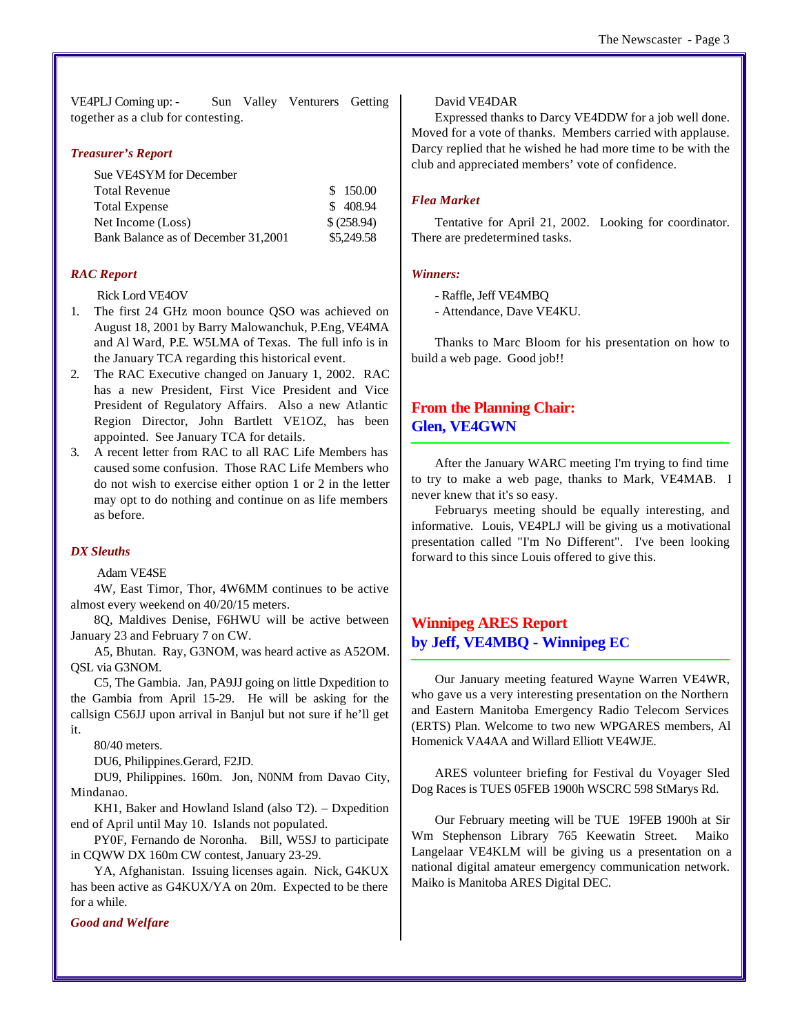VE4PLJ Coming up: - Sun Valley Venturers Getting together as a club for contesting.

#### *Treasurer's Report*

| Sue VE4SYM for December             |            |
|-------------------------------------|------------|
| <b>Total Revenue</b>                | \$150.00   |
| <b>Total Expense</b>                | \$408.94   |
| Net Income (Loss)                   | \$(258.94) |
| Bank Balance as of December 31,2001 | \$5,249.58 |

#### *RAC Report*

Rick Lord VE4OV

- 1. The first 24 GHz moon bounce QSO was achieved on August 18, 2001 by Barry Malowanchuk, P.Eng, VE4MA and Al Ward, P.E. W5LMA of Texas. The full info is in the January TCA regarding this historical event.
- 2. The RAC Executive changed on January 1, 2002. RAC has a new President, First Vice President and Vice President of Regulatory Affairs. Also a new Atlantic Region Director, John Bartlett VE1OZ, has been appointed. See January TCA for details.
- 3. A recent letter from RAC to all RAC Life Members has caused some confusion. Those RAC Life Members who do not wish to exercise either option 1 or 2 in the letter may opt to do nothing and continue on as life members as before.

#### *DX Sleuths*

Adam VE4SE

4W, East Timor, Thor, 4W6MM continues to be active almost every weekend on 40/20/15 meters.

8Q, Maldives Denise, F6HWU will be active between January 23 and February 7 on CW.

A5, Bhutan. Ray, G3NOM, was heard active as A52OM. QSL via G3NOM.

C5, The Gambia. Jan, PA9JJ going on little Dxpedition to the Gambia from April 15-29. He will be asking for the callsign C56JJ upon arrival in Banjul but not sure if he'll get it.

80/40 meters.

DU6, Philippines.Gerard, F2JD.

DU9, Philippines. 160m. Jon, N0NM from Davao City, Mindanao.

KH1, Baker and Howland Island (also T2). – Dxpedition end of April until May 10. Islands not populated.

PY0F, Fernando de Noronha. Bill, W5SJ to participate in CQWW DX 160m CW contest, January 23-29.

YA, Afghanistan. Issuing licenses again. Nick, G4KUX has been active as G4KUX/YA on 20m. Expected to be there for a while.

*Good and Welfare*

#### David VE4DAR

Expressed thanks to Darcy VE4DDW for a job well done. Moved for a vote of thanks. Members carried with applause. Darcy replied that he wished he had more time to be with the club and appreciated members' vote of confidence.

#### *Flea Market*

Tentative for April 21, 2002. Looking for coordinator. There are predetermined tasks.

#### *Winners:*

- Raffle, Jeff VE4MBQ
- Attendance, Dave VE4KU.

Thanks to Marc Bloom for his presentation on how to build a web page. Good job!!

#### **From the Planning Chair: Glen, VE4GWN**

After the January WARC meeting I'm trying to find time to try to make a web page, thanks to Mark, VE4MAB. I never knew that it's so easy.

Februarys meeting should be equally interesting, and informative. Louis, VE4PLJ will be giving us a motivational presentation called "I'm No Different". I've been looking forward to this since Louis offered to give this.

# **Winnipeg ARES Report by Jeff, VE4MBQ - Winnipeg EC**

Our January meeting featured Wayne Warren VE4WR, who gave us a very interesting presentation on the Northern and Eastern Manitoba Emergency Radio Telecom Services (ERTS) Plan. Welcome to two new WPGARES members, Al Homenick VA4AA and Willard Elliott VE4WJE.

ARES volunteer briefing for Festival du Voyager Sled Dog Races is TUES 05FEB 1900h WSCRC 598 StMarys Rd.

Our February meeting will be TUE 19FEB 1900h at Sir Wm Stephenson Library 765 Keewatin Street. Maiko Langelaar VE4KLM will be giving us a presentation on a national digital amateur emergency communication network. Maiko is Manitoba ARES Digital DEC.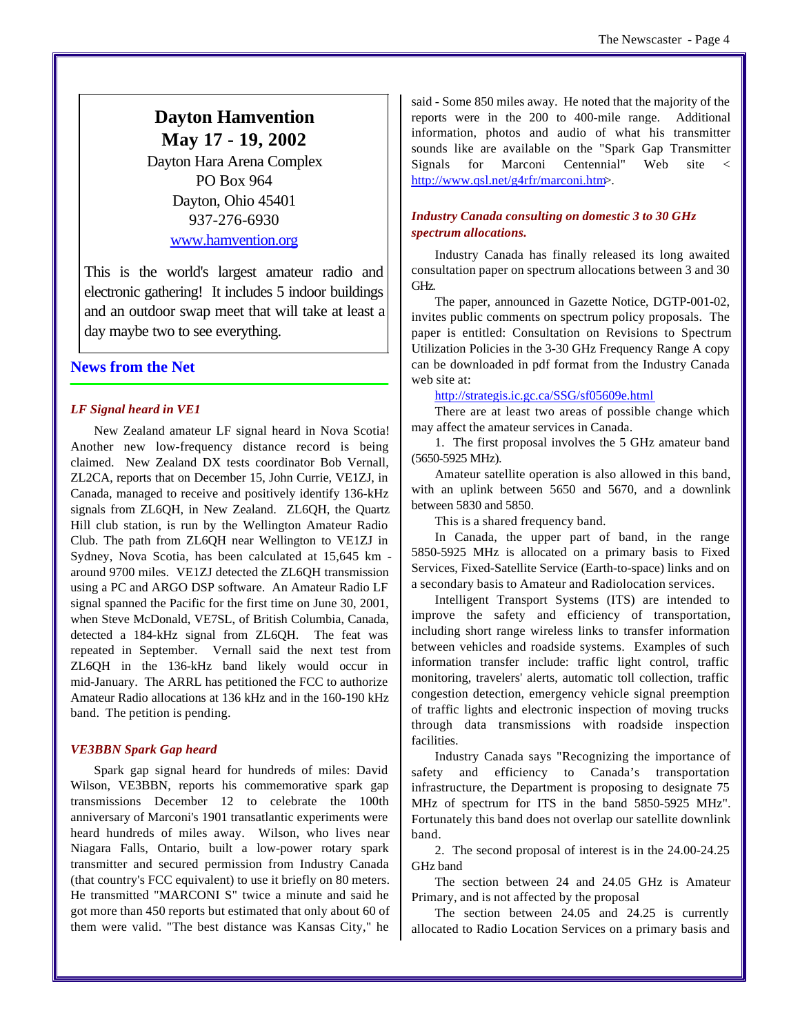# **Dayton Hamvention May 17 - 19, 2002**

Dayton Hara Arena Complex PO Box 964 Dayton, Ohio 45401 937-276-6930 www.hamvention.org

This is the world's largest amateur radio and electronic gathering! It includes 5 indoor buildings and an outdoor swap meet that will take at least a day maybe two to see everything.

### **News from the Net**

#### *LF Signal heard in VE1*

New Zealand amateur LF signal heard in Nova Scotia! Another new low-frequency distance record is being claimed. New Zealand DX tests coordinator Bob Vernall, ZL2CA, reports that on December 15, John Currie, VE1ZJ, in Canada, managed to receive and positively identify 136-kHz signals from ZL6QH, in New Zealand. ZL6QH, the Quartz Hill club station, is run by the Wellington Amateur Radio Club. The path from ZL6QH near Wellington to VE1ZJ in Sydney, Nova Scotia, has been calculated at 15,645 km around 9700 miles. VE1ZJ detected the ZL6QH transmission using a PC and ARGO DSP software. An Amateur Radio LF signal spanned the Pacific for the first time on June 30, 2001, when Steve McDonald, VE7SL, of British Columbia, Canada, detected a 184-kHz signal from ZL6QH. The feat was repeated in September. Vernall said the next test from ZL6QH in the 136-kHz band likely would occur in mid-January. The ARRL has petitioned the FCC to authorize Amateur Radio allocations at 136 kHz and in the 160-190 kHz band. The petition is pending.

#### *VE3BBN Spark Gap heard*

Spark gap signal heard for hundreds of miles: David Wilson, VE3BBN, reports his commemorative spark gap transmissions December 12 to celebrate the 100th anniversary of Marconi's 1901 transatlantic experiments were heard hundreds of miles away. Wilson, who lives near Niagara Falls, Ontario, built a low-power rotary spark transmitter and secured permission from Industry Canada (that country's FCC equivalent) to use it briefly on 80 meters. He transmitted "MARCONI S" twice a minute and said he got more than 450 reports but estimated that only about 60 of them were valid. "The best distance was Kansas City," he said - Some 850 miles away. He noted that the majority of the reports were in the 200 to 400-mile range. Additional information, photos and audio of what his transmitter sounds like are available on the "Spark Gap Transmitter Signals for Marconi Centennial" Web site < http://www.qsl.net/g4rfr/marconi.htm>.

#### *Industry Canada consulting on domestic 3 to 30 GHz spectrum allocations.*

Industry Canada has finally released its long awaited consultation paper on spectrum allocations between 3 and 30 GHz.

The paper, announced in Gazette Notice, DGTP-001-02, invites public comments on spectrum policy proposals. The paper is entitled: Consultation on Revisions to Spectrum Utilization Policies in the 3-30 GHz Frequency Range A copy can be downloaded in pdf format from the Industry Canada web site at:

#### http://strategis.ic.gc.ca/SSG/sf05609e.html

There are at least two areas of possible change which may affect the amateur services in Canada.

1. The first proposal involves the 5 GHz amateur band (5650-5925 MHz).

Amateur satellite operation is also allowed in this band, with an uplink between 5650 and 5670, and a downlink between 5830 and 5850.

This is a shared frequency band.

In Canada, the upper part of band, in the range 5850-5925 MHz is allocated on a primary basis to Fixed Services, Fixed-Satellite Service (Earth-to-space) links and on a secondary basis to Amateur and Radiolocation services.

Intelligent Transport Systems (ITS) are intended to improve the safety and efficiency of transportation, including short range wireless links to transfer information between vehicles and roadside systems. Examples of such information transfer include: traffic light control, traffic monitoring, travelers' alerts, automatic toll collection, traffic congestion detection, emergency vehicle signal preemption of traffic lights and electronic inspection of moving trucks through data transmissions with roadside inspection facilities.

Industry Canada says "Recognizing the importance of safety and efficiency to Canada's transportation infrastructure, the Department is proposing to designate 75 MHz of spectrum for ITS in the band 5850-5925 MHz". Fortunately this band does not overlap our satellite downlink band.

2. The second proposal of interest is in the 24.00-24.25 GHz band

The section between 24 and 24.05 GHz is Amateur Primary, and is not affected by the proposal

The section between 24.05 and 24.25 is currently allocated to Radio Location Services on a primary basis and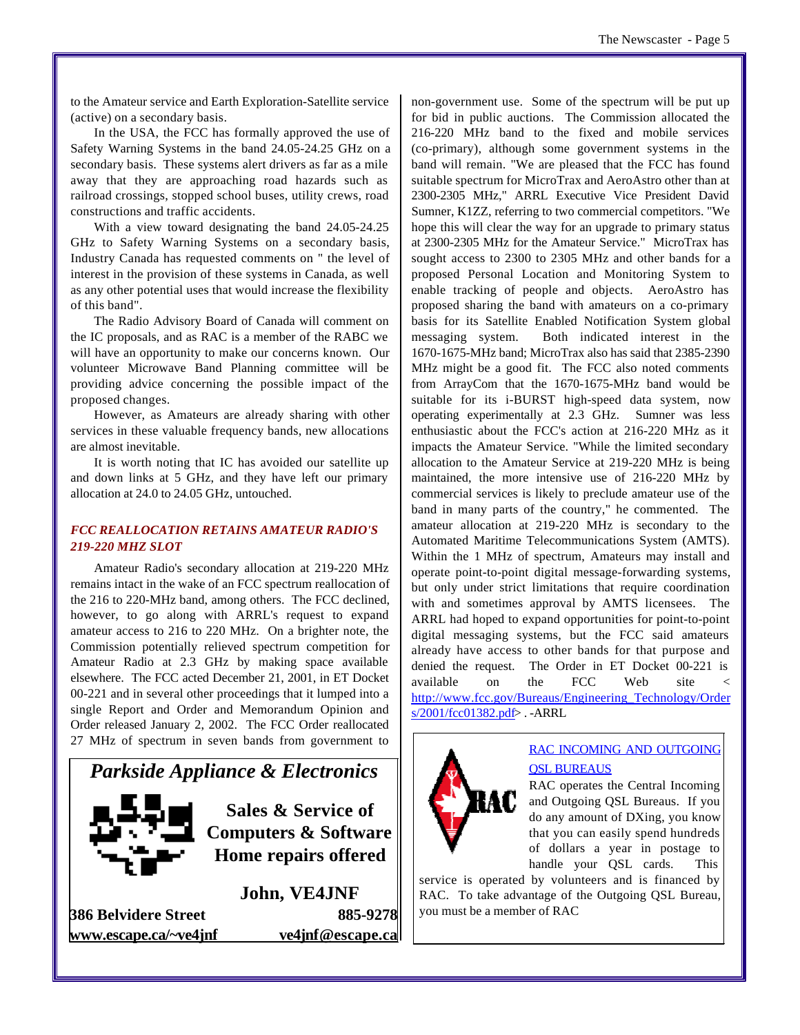to the Amateur service and Earth Exploration-Satellite service (active) on a secondary basis.

In the USA, the FCC has formally approved the use of Safety Warning Systems in the band 24.05-24.25 GHz on a secondary basis. These systems alert drivers as far as a mile away that they are approaching road hazards such as railroad crossings, stopped school buses, utility crews, road constructions and traffic accidents.

With a view toward designating the band 24.05-24.25 GHz to Safety Warning Systems on a secondary basis, Industry Canada has requested comments on " the level of interest in the provision of these systems in Canada, as well as any other potential uses that would increase the flexibility of this band".

The Radio Advisory Board of Canada will comment on the IC proposals, and as RAC is a member of the RABC we will have an opportunity to make our concerns known. Our volunteer Microwave Band Planning committee will be providing advice concerning the possible impact of the proposed changes.

However, as Amateurs are already sharing with other services in these valuable frequency bands, new allocations are almost inevitable.

It is worth noting that IC has avoided our satellite up and down links at 5 GHz, and they have left our primary allocation at 24.0 to 24.05 GHz, untouched.

#### *FCC REALLOCATION RETAINS AMATEUR RADIO'S 219-220 MHZ SLOT*

Amateur Radio's secondary allocation at 219-220 MHz remains intact in the wake of an FCC spectrum reallocation of the 216 to 220-MHz band, among others. The FCC declined, however, to go along with ARRL's request to expand amateur access to 216 to 220 MHz. On a brighter note, the Commission potentially relieved spectrum competition for Amateur Radio at 2.3 GHz by making space available elsewhere. The FCC acted December 21, 2001, in ET Docket 00-221 and in several other proceedings that it lumped into a single Report and Order and Memorandum Opinion and Order released January 2, 2002. The FCC Order reallocated 27 MHz of spectrum in seven bands from government to



**386 Belvidere Street 885-9278 www.escape.ca/~ve4jnf ve4jnf@escape.ca**

non-government use. Some of the spectrum will be put up for bid in public auctions. The Commission allocated the 216-220 MHz band to the fixed and mobile services (co-primary), although some government systems in the band will remain. "We are pleased that the FCC has found suitable spectrum for MicroTrax and AeroAstro other than at 2300-2305 MHz," ARRL Executive Vice President David Sumner, K1ZZ, referring to two commercial competitors. "We hope this will clear the way for an upgrade to primary status at 2300-2305 MHz for the Amateur Service." MicroTrax has sought access to 2300 to 2305 MHz and other bands for a proposed Personal Location and Monitoring System to enable tracking of people and objects. AeroAstro has proposed sharing the band with amateurs on a co-primary basis for its Satellite Enabled Notification System global messaging system. Both indicated interest in the 1670-1675-MHz band; MicroTrax also has said that 2385-2390 MHz might be a good fit. The FCC also noted comments from ArrayCom that the 1670-1675-MHz band would be suitable for its i-BURST high-speed data system, now operating experimentally at 2.3 GHz. Sumner was less enthusiastic about the FCC's action at 216-220 MHz as it impacts the Amateur Service. "While the limited secondary allocation to the Amateur Service at 219-220 MHz is being maintained, the more intensive use of 216-220 MHz by commercial services is likely to preclude amateur use of the band in many parts of the country," he commented. The amateur allocation at 219-220 MHz is secondary to the Automated Maritime Telecommunications System (AMTS). Within the 1 MHz of spectrum, Amateurs may install and operate point-to-point digital message-forwarding systems, but only under strict limitations that require coordination with and sometimes approval by AMTS licensees. The ARRL had hoped to expand opportunities for point-to-point digital messaging systems, but the FCC said amateurs already have access to other bands for that purpose and denied the request. The Order in ET Docket 00-221 is available on the FCC Web site < http://www.fcc.gov/Bureaus/Engineering\_Technology/Order s/2001/fcc01382.pdf> . -ARRL



# RAC INCOMING AND OUTGOING **OSL BUREAUS**

RAC operates the Central Incoming and Outgoing QSL Bureaus. If you do any amount of DXing, you know that you can easily spend hundreds of dollars a year in postage to handle your QSL cards. This

service is operated by volunteers and is financed by RAC. To take advantage of the Outgoing QSL Bureau, you must be a member of RAC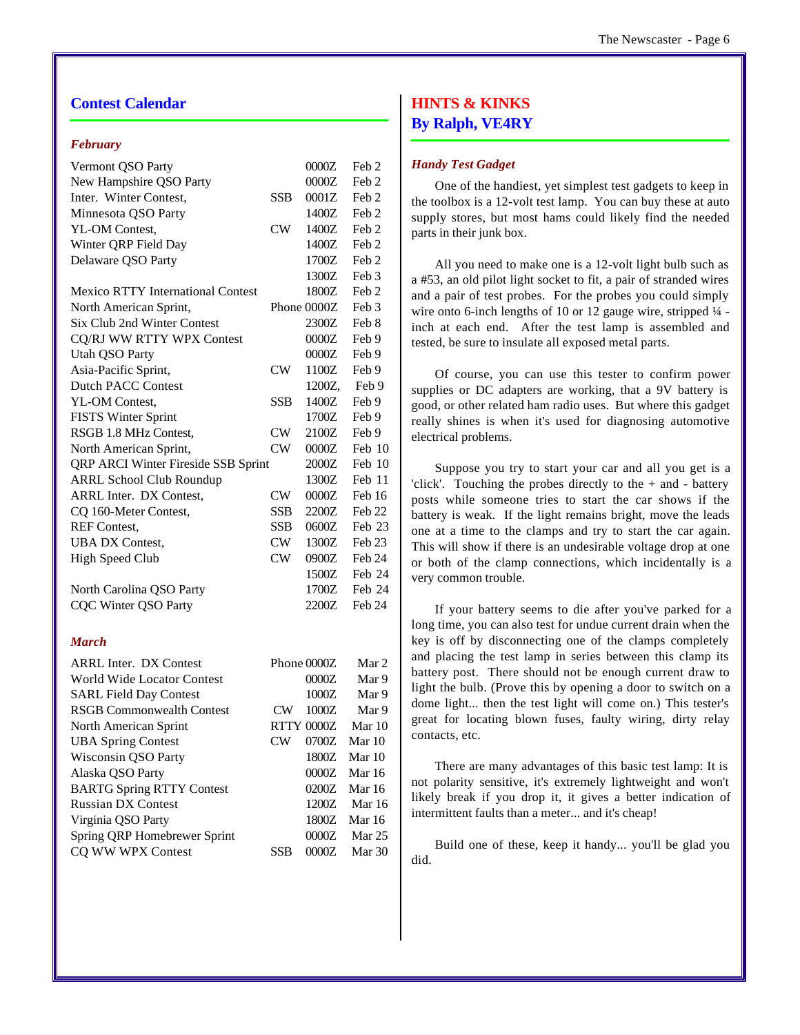## **Contest Calendar**

#### *February*

| Vermont QSO Party                        |            | 0000Z             | Feb <sub>2</sub> |
|------------------------------------------|------------|-------------------|------------------|
| New Hampshire QSO Party                  |            | 0000Z             | Feb 2            |
| Inter. Winter Contest,                   | <b>SSB</b> | 0001Z             | Feb 2            |
| Minnesota QSO Party                      |            | 1400Z             | Feb 2            |
| YL-OM Contest,                           | CW         | 1400Z             | Feb 2            |
| Winter QRP Field Day                     |            | 1400Z             | Feb 2            |
| Delaware QSO Party                       |            | 1700Z             | Feb 2            |
|                                          |            | 1300Z             | Feb 3            |
| <b>Mexico RTTY International Contest</b> |            | 1800Z             | Feb 2            |
| North American Sprint,                   |            | Phone 0000Z       | Feb 3            |
| Six Club 2nd Winter Contest              |            | 2300Z             | Feb 8            |
| CQ/RJ WW RTTY WPX Contest                |            | 0000Z             | Feb 9            |
| <b>Utah QSO Party</b>                    |            | 0000Z             | Feb 9            |
| Asia-Pacific Sprint,                     | CW         | 1100Z             | Feb 9            |
| <b>Dutch PACC Contest</b>                |            | 1200Z,            | Feb 9            |
| YL-OM Contest,                           | <b>SSB</b> | 1400Z             | Feb 9            |
| <b>FISTS Winter Sprint</b>               |            | 1700Z             | Feb 9            |
| RSGB 1.8 MHz Contest,                    | CW         | 2100Z             | Feb 9            |
| North American Sprint,                   | CW         | 0000Z             | Feb 10           |
| QRP ARCI Winter Fireside SSB Sprint      |            | 2000Z             | Feb 10           |
| <b>ARRL School Club Roundup</b>          |            | 1300Z             | Feb 11           |
| <b>ARRL Inter. DX Contest,</b>           | <b>CW</b>  | 0000Z             | Feb 16           |
| CQ 160-Meter Contest,                    | <b>SSB</b> | 2200Z             | Feb 22           |
| <b>REF Contest,</b>                      | <b>SSB</b> | 0600Z             | Feb 23           |
| <b>UBA DX Contest,</b>                   | CW         | 1300Z             | Feb 23           |
| <b>High Speed Club</b>                   | CW         | 0900Z             | Feb 24           |
|                                          |            | 1500Z             | Feb 24           |
| North Carolina QSO Party                 |            | 1700Z             | Feb 24           |
| <b>CQC Winter QSO Party</b>              |            | 2200Z             | Feb 24           |
|                                          |            |                   |                  |
| <b>March</b>                             |            |                   |                  |
| <b>ARRL Inter. DX Contest</b>            |            | Phone 0000Z       | Mar 2            |
| World Wide Locator Contest               |            | 0000Z             | Mar 9            |
| <b>SARL Field Day Contest</b>            |            | 1000Z             | Mar 9            |
| <b>RSGB Commonwealth Contest</b>         | CW         | 1000Z             | Mar 9            |
| North American Sprint                    |            | <b>RTTY 0000Z</b> | Mar 10           |
| <b>UBA Spring Contest</b>                | CW         | 0700Z             | Mar 10           |
| Wisconsin QSO Party                      |            | 1800Z             | Mar 10           |
| Alaska QSO Party                         |            | $0000Z$           | Mar 16           |
| <b>BARTG Spring RTTY Contest</b>         |            | 0200Z             | Mar 16           |
| <b>Russian DX Contest</b>                |            | 1200Z             | Mar 16           |
| Virginia QSO Party                       |            | 1800Z             | Mar 16           |
| Spring QRP Homebrewer Sprint             |            | 0000Z             | Mar 25           |

CQ WW WPX Contest SSB 0000Z Mar 30

# **HINTS & KINKS By Ralph, VE4RY**

#### *Handy Test Gadget*

One of the handiest, yet simplest test gadgets to keep in the toolbox is a 12-volt test lamp. You can buy these at auto supply stores, but most hams could likely find the needed parts in their junk box.

All you need to make one is a 12-volt light bulb such as a #53, an old pilot light socket to fit, a pair of stranded wires and a pair of test probes. For the probes you could simply wire onto 6-inch lengths of 10 or 12 gauge wire, stripped  $\frac{1}{4}$  inch at each end. After the test lamp is assembled and tested, be sure to insulate all exposed metal parts.

Of course, you can use this tester to confirm power supplies or DC adapters are working, that a 9V battery is good, or other related ham radio uses. But where this gadget really shines is when it's used for diagnosing automotive electrical problems.

Suppose you try to start your car and all you get is a 'click'. Touching the probes directly to the  $+$  and  $-$  battery posts while someone tries to start the car shows if the battery is weak. If the light remains bright, move the leads one at a time to the clamps and try to start the car again. This will show if there is an undesirable voltage drop at one or both of the clamp connections, which incidentally is a very common trouble.

If your battery seems to die after you've parked for a long time, you can also test for undue current drain when the key is off by disconnecting one of the clamps completely and placing the test lamp in series between this clamp its battery post. There should not be enough current draw to light the bulb. (Prove this by opening a door to switch on a dome light... then the test light will come on.) This tester's great for locating blown fuses, faulty wiring, dirty relay contacts, etc.

There are many advantages of this basic test lamp: It is not polarity sensitive, it's extremely lightweight and won't likely break if you drop it, it gives a better indication of intermittent faults than a meter... and it's cheap!

Build one of these, keep it handy... you'll be glad you did.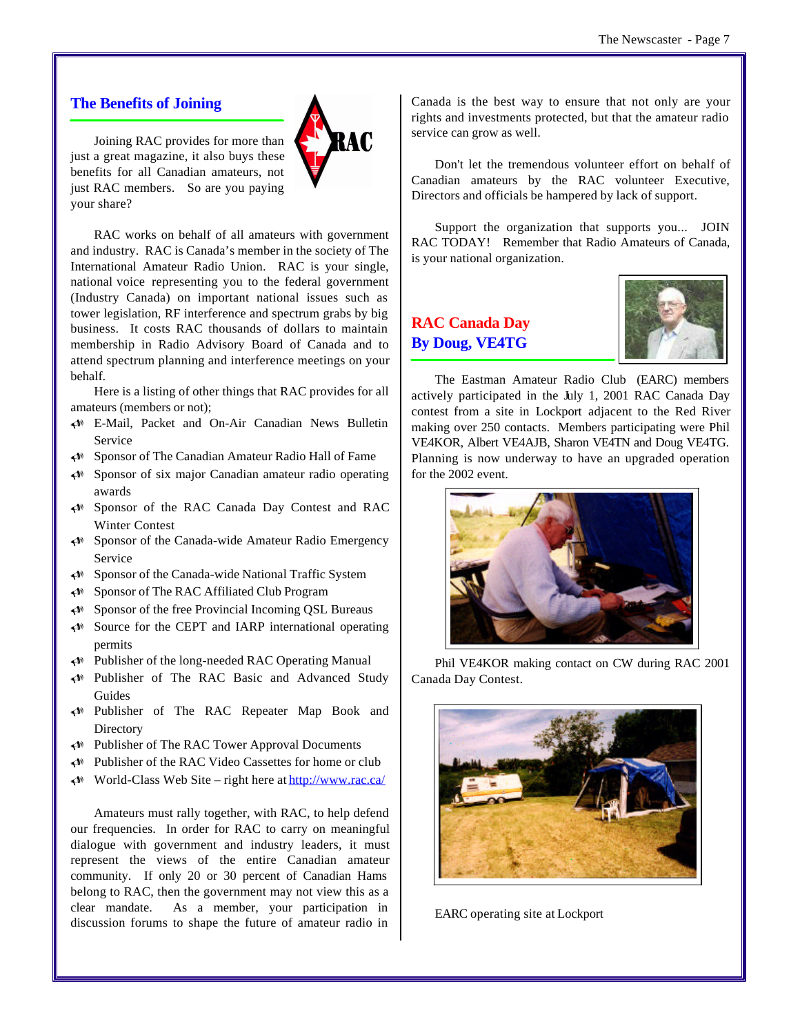#### **The Benefits of Joining**

Joining RAC provides for more than just a great magazine, it also buys these benefits for all Canadian amateurs, not just RAC members. So are you paying your share?



RAC works on behalf of all amateurs with government and industry. RAC is Canada's member in the society of The International Amateur Radio Union. RAC is your single, national voice representing you to the federal government (Industry Canada) on important national issues such as tower legislation, RF interference and spectrum grabs by big business. It costs RAC thousands of dollars to maintain membership in Radio Advisory Board of Canada and to attend spectrum planning and interference meetings on your behalf.

Here is a listing of other things that RAC provides for all amateurs (members or not);

- U E-Mail, Packet and On-Air Canadian News Bulletin Service
- U Sponsor of The Canadian Amateur Radio Hall of Fame
- U Sponsor of six major Canadian amateur radio operating awards
- U Sponsor of the RAC Canada Day Contest and RAC Winter Contest
- $\triangleleft$  Sponsor of the Canada-wide Amateur Radio Emergency Service
- U Sponsor of the Canada-wide National Traffic System
- U Sponsor of The RAC Affiliated Club Program
- $\triangleleft$  Sponsor of the free Provincial Incoming QSL Bureaus
- $\leftrightarrow$  Source for the CEPT and IARP international operating permits
- U Publisher of the long-needed RAC Operating Manual
- U Publisher of The RAC Basic and Advanced Study Guides
- U Publisher of The RAC Repeater Map Book and **Directory**
- U Publisher of The RAC Tower Approval Documents
- U Publisher of the RAC Video Cassettes for home or club
- $\triangleleft$  World-Class Web Site right here at http://www.rac.ca/

Amateurs must rally together, with RAC, to help defend our frequencies. In order for RAC to carry on meaningful dialogue with government and industry leaders, it must represent the views of the entire Canadian amateur community. If only 20 or 30 percent of Canadian Hams belong to RAC, then the government may not view this as a clear mandate. As a member, your participation in discussion forums to shape the future of amateur radio in

Canada is the best way to ensure that not only are your rights and investments protected, but that the amateur radio service can grow as well.

Don't let the tremendous volunteer effort on behalf of Canadian amateurs by the RAC volunteer Executive, Directors and officials be hampered by lack of support.

Support the organization that supports you... JOIN RAC TODAY! Remember that Radio Amateurs of Canada, is your national organization.

# **RAC Canada Day By Doug, VE4TG**



The Eastman Amateur Radio Club (EARC) members actively participated in the July 1, 2001 RAC Canada Day contest from a site in Lockport adjacent to the Red River making over 250 contacts. Members participating were Phil VE4KOR, Albert VE4AJB, Sharon VE4TN and Doug VE4TG. Planning is now underway to have an upgraded operation for the 2002 event.



Phil VE4KOR making contact on CW during RAC 2001 Canada Day Contest.



EARC operating site at Lockport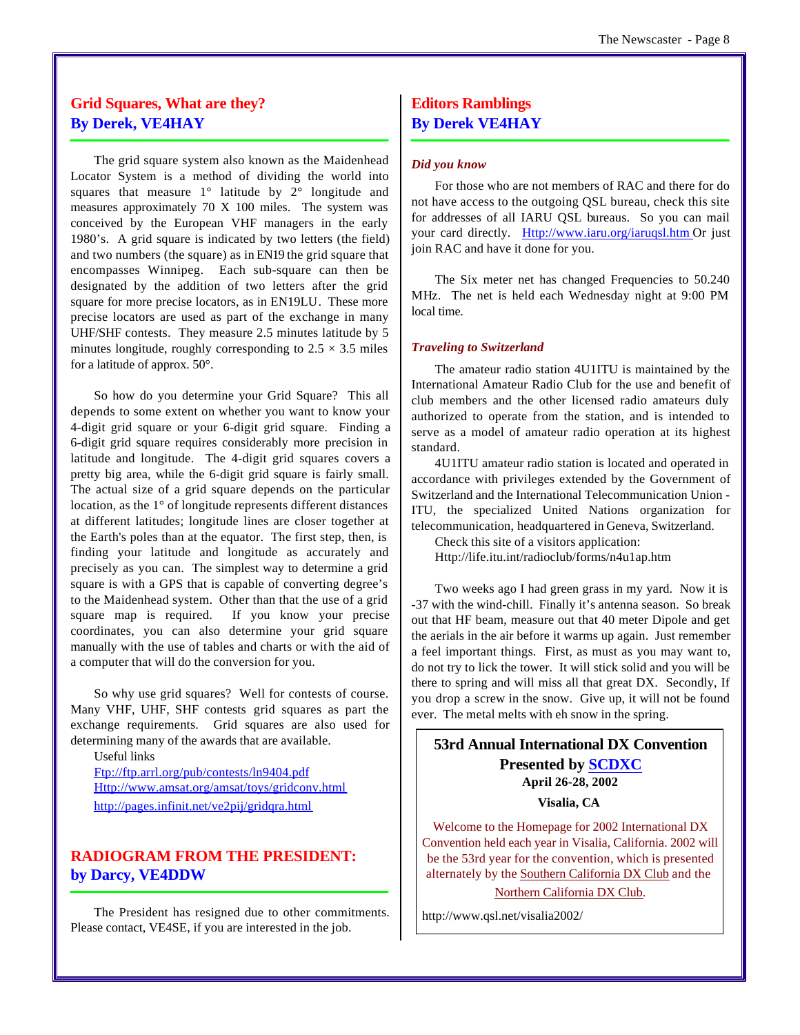# **Grid Squares, What are they? By Derek, VE4HAY**

The grid square system also known as the Maidenhead Locator System is a method of dividing the world into squares that measure 1° latitude by 2° longitude and measures approximately 70 X 100 miles. The system was conceived by the European VHF managers in the early 1980's. A grid square is indicated by two letters (the field) and two numbers (the square) as in EN19 the grid square that encompasses Winnipeg. Each sub-square can then be designated by the addition of two letters after the grid square for more precise locators, as in EN19LU. These more precise locators are used as part of the exchange in many UHF/SHF contests. They measure 2.5 minutes latitude by 5 minutes longitude, roughly corresponding to  $2.5 \times 3.5$  miles for a latitude of approx. 50°.

So how do you determine your Grid Square? This all depends to some extent on whether you want to know your 4-digit grid square or your 6-digit grid square. Finding a 6-digit grid square requires considerably more precision in latitude and longitude. The 4-digit grid squares covers a pretty big area, while the 6-digit grid square is fairly small. The actual size of a grid square depends on the particular location, as the 1° of longitude represents different distances at different latitudes; longitude lines are closer together at the Earth's poles than at the equator. The first step, then, is finding your latitude and longitude as accurately and precisely as you can. The simplest way to determine a grid square is with a GPS that is capable of converting degree's to the Maidenhead system. Other than that the use of a grid square map is required. If you know your precise coordinates, you can also determine your grid square manually with the use of tables and charts or with the aid of a computer that will do the conversion for you.

So why use grid squares? Well for contests of course. Many VHF, UHF, SHF contests grid squares as part the exchange requirements. Grid squares are also used for determining many of the awards that are available.

Useful links Ftp://ftp.arrl.org/pub/contests/ln9404.pdf Http://www.amsat.org/amsat/toys/gridconv.html http://pages.infinit.net/ve2pij/gridqra.html

# **RADIOGRAM FROM THE PRESIDENT: by Darcy, VE4DDW**

The President has resigned due to other commitments. Please contact, VE4SE, if you are interested in the job.

# **Editors Ramblings By Derek VE4HAY**

#### *Did you know*

For those who are not members of RAC and there for do not have access to the outgoing QSL bureau, check this site for addresses of all IARU QSL bureaus. So you can mail your card directly. Http://www.iaru.org/iaruqsl.htm Or just join RAC and have it done for you.

The Six meter net has changed Frequencies to 50.240 MHz. The net is held each Wednesday night at 9:00 PM local time.

#### *Traveling to Switzerland*

The amateur radio station 4U1ITU is maintained by the International Amateur Radio Club for the use and benefit of club members and the other licensed radio amateurs duly authorized to operate from the station, and is intended to serve as a model of amateur radio operation at its highest standard.

4U1ITU amateur radio station is located and operated in accordance with privileges extended by the Government of Switzerland and the International Telecommunication Union - ITU, the specialized United Nations organization for telecommunication, headquartered in Geneva, Switzerland.

Check this site of a visitors application: Http://life.itu.int/radioclub/forms/n4u1ap.htm

Two weeks ago I had green grass in my yard. Now it is -37 with the wind-chill. Finally it's antenna season. So break out that HF beam, measure out that 40 meter Dipole and get the aerials in the air before it warms up again. Just remember a feel important things. First, as must as you may want to, do not try to lick the tower. It will stick solid and you will be there to spring and will miss all that great DX. Secondly, If you drop a screw in the snow. Give up, it will not be found ever. The metal melts with eh snow in the spring.

## **53rd Annual International DX Convention Presented by SCDXC April 26-28, 2002**

**Visalia, CA** 

Welcome to the Homepage for 2002 International DX Convention held each year in Visalia, California. 2002 will be the 53rd year for the convention, which is presented alternately by the Southern California DX Club and the

Northern California DX Club.

http://www.qsl.net/visalia2002/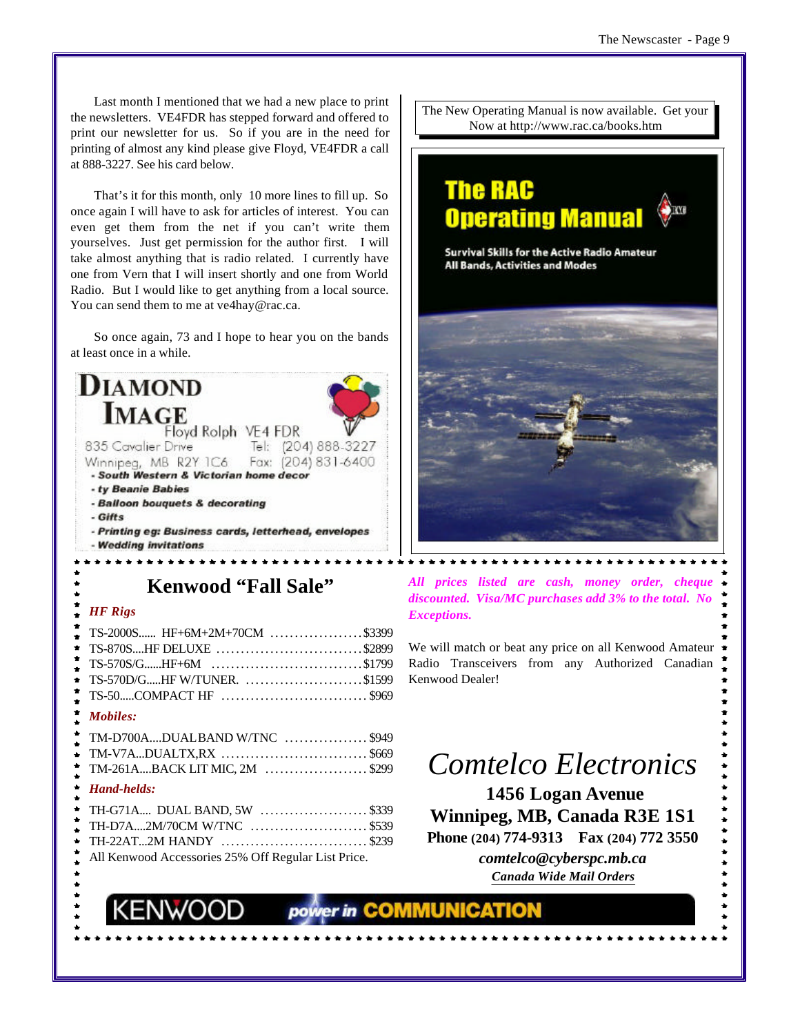Last month I mentioned that we had a new place to print the newsletters. VE4FDR has stepped forward and offered to print our newsletter for us. So if you are in the need for printing of almost any kind please give Floyd, VE4FDR a call at 888-3227. See his card below.

That's it for this month, only 10 more lines to fill up. So once again I will have to ask for articles of interest. You can even get them from the net if you can't write them yourselves. Just get permission for the author first. I will take almost anything that is radio related. I currently have one from Vern that I will insert shortly and one from World Radio. But I would like to get anything from a local source. You can send them to me at ve4hay@rac.ca.

So once again, 73 and I hope to hear you on the bands at least once in a while.

| <b>DIAMOND</b>                                       |
|------------------------------------------------------|
| <b>MAGE</b>                                          |
| Floyd Rolph VE4 FDR                                  |
| Tel: (204) 888-3227<br>835 Cavalier Drive            |
| Winnipeg, MB R2Y IC6 Fax: (204) 831-6400             |
| - South Western & Victorian home decor               |
| - ty Beanie Babies                                   |
| - Balloon bouquets & decorating                      |
| - Gifts                                              |
| - Printing eg: Business cards, letterhead, envelopes |
| - Wedding invitations                                |

**Kenwood "Fall Sale"**

#### *HF Rigs*

| TS-2000S HF+6M+2M+70CM \$3399 |  |
|-------------------------------|--|
|                               |  |
|                               |  |
|                               |  |
|                               |  |

#### *Mobiles:*

| TM-D700ADUALBAND W/TNC \$949  |  |
|-------------------------------|--|
| $TM-V7ADUALTX, RX$ \$669      |  |
| TM-261ABACK LIT MIC, 2M \$299 |  |
| .                             |  |

#### *Hand-helds:*

| TH-G71A DUAL BAND, 5W \$339                         |
|-----------------------------------------------------|
|                                                     |
|                                                     |
| All Kenwood Accessories 25% Off Regular List Price. |

The New Operating Manual is now available. Get your Now at http://www.rac.ca/books.htm

# **The RAC Operating Manual**

**Survival Skills for the Active Radio Amateur All Bands, Activities and Modes** 



*All prices listed are cash, money order, cheque discounted. Visa/MC purchases add 3% to the total. No Exceptions.*

We will match or beat any price on all Kenwood Amateur Radio Transceivers from any Authorized Canadian Kenwood Dealer!

# *Comtelco Electronics*

 **1456 Logan Avenue Winnipeg, MB, Canada R3E 1S1 Phone (204) 774-9313 Fax (204) 772 3550** *comtelco@cyberspc.mb.ca Canada Wide Mail Orders*

power in COMMUNICATION